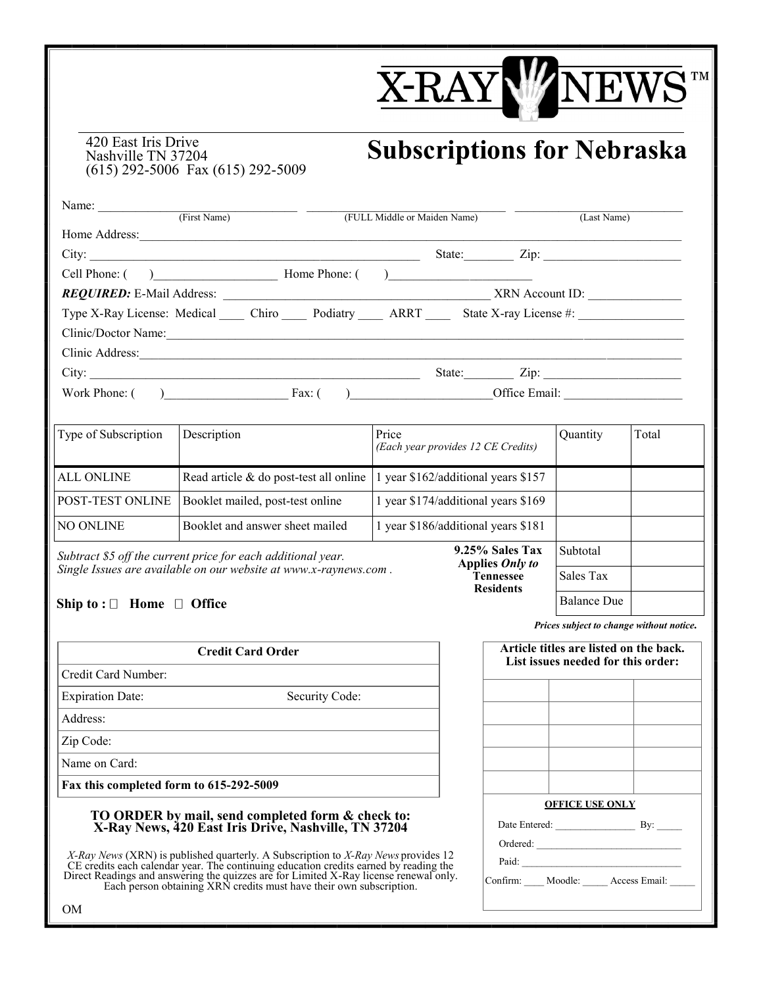## **X-RAYW**  $\sqrt{T}$

## **Subscriptions for Nebraska**

**Tennessee Residents**

420 East Iris Drive Nashville TN 37204 (615) 292-5006 Fax (615) 292-5009

| Name:<br>(First Name)                           | (FULL Middle or Maiden Name)<br>(Last Name)         |
|-------------------------------------------------|-----------------------------------------------------|
| Home Address:                                   |                                                     |
|                                                 | $\mathsf{Zip:}\_$<br>State:                         |
| Cell Phone: ( ) Home Phone: (                   | ) and the contract of the contract of $\mathcal{L}$ |
| REQUIRED: E-Mail Address:                       | XRN Account ID:                                     |
| Type X-Ray License: Medical Chiro Podiatry ARRT | State X-ray License #:                              |
| Clinic/Doctor Name:                             |                                                     |
| Clinic Address:                                 |                                                     |
| City:                                           | $\mathsf{Zip:}\_$<br>State:                         |
| Work Phone: (<br>Fax: $\theta$                  | Office Email:<br><u> Alban Alban (</u> 1985)        |

| Type of Subscription                                                                                                              | Description                            | Price<br>(Each year provides 12 CE Credits) | Quantity | Total |
|-----------------------------------------------------------------------------------------------------------------------------------|----------------------------------------|---------------------------------------------|----------|-------|
| <b>ALL ONLINE</b>                                                                                                                 | Read article & do post-test all online | 1 year \$162/additional years \$157         |          |       |
| <b>POST-TEST ONLINE</b>                                                                                                           | Booklet mailed, post-test online       | 1 year \$174/additional years \$169         |          |       |
| <b>NO ONLINE</b>                                                                                                                  | Booklet and answer sheet mailed        | 1 year \$186/additional years \$181         |          |       |
| Subtract \$5 off the current price for each additional year.<br>Single Issues are quailable on our website at unus x ray ous com- | Subtotal                               |                                             |          |       |

*Single Issues are available on our website at www.x-raynews.com .*

## **Ship to : □ Home □ Office**

**Credit Card Order**

Credit Card Number:

Expiration Date: Security Code:

Address:

Zip Code:

Name on Card:

**Fax this completed form to 615-292-5009**

## **TO ORDER by mail, send completed form & check to: X-Ray News, 420 East Iris Drive, Nashville, TN 37204**

*X-Ray News* (XRN) is published quarterly. A Subscription to *X-Ray News* provides 12 CE credits each calendar year. The continuing education credits earned by reading the Direct Readings and answering the quizzes are for Limited X-Ray license renewal only. Each person obtaining XRN credits must have their own subscription.

*Prices subject to change without notice.*

Sales Tax

Balance Due

|                                |                        | Article titles are listed on the back.<br>List issues needed for this order: |
|--------------------------------|------------------------|------------------------------------------------------------------------------|
|                                |                        |                                                                              |
|                                |                        |                                                                              |
|                                |                        |                                                                              |
|                                |                        |                                                                              |
|                                |                        |                                                                              |
|                                | <b>OFFICE USE ONLY</b> |                                                                              |
| Date Entered: By:              |                        |                                                                              |
| Ordered:                       |                        |                                                                              |
| Paid:                          |                        |                                                                              |
| Confirm: Moodle: Access Email: |                        |                                                                              |
|                                |                        |                                                                              |

OM